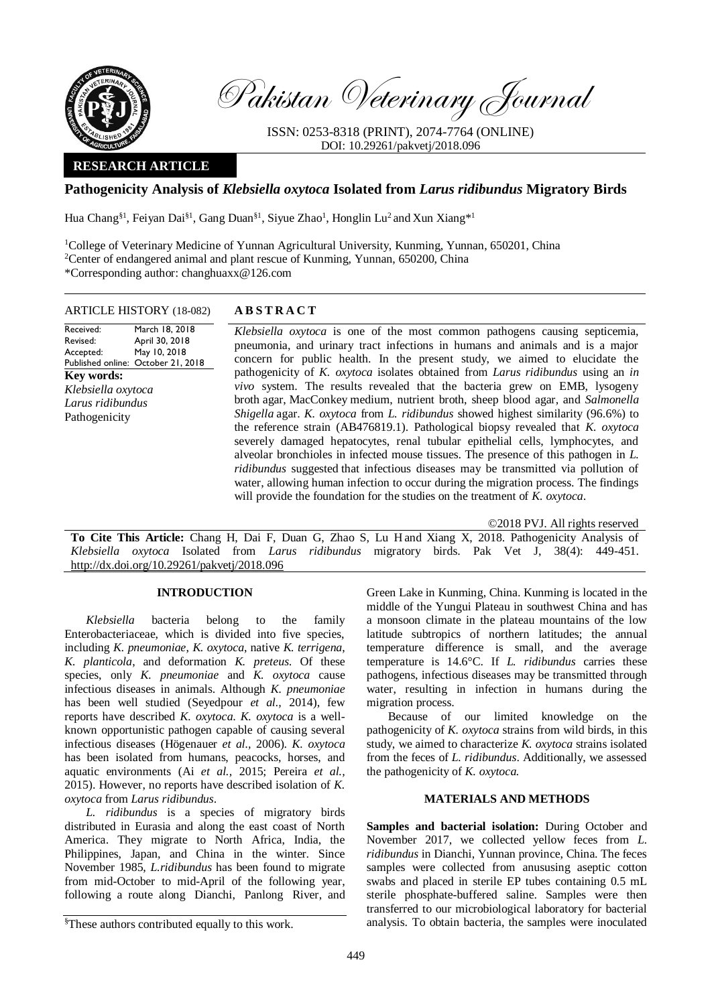

Pakistan Veterinary Journal

ISSN: 0253-8318 (PRINT), 2074-7764 (ONLINE) DOI: 10.29261/pakvetj/2018.096

# **RESEARCH ARTICLE**

# **Pathogenicity Analysis of** *Klebsiella oxytoca* **Isolated from** *Larus ridibundus* **Migratory Birds**

Hua Chang<sup>§1</sup>, Feiyan Dai<sup>§1</sup>, Gang Duan<sup>§1</sup>, Siyue Zhao<sup>1</sup>, Honglin Lu<sup>2</sup> and Xun Xiang\*<sup>1</sup>

<sup>1</sup>College of Veterinary Medicine of Yunnan Agricultural University, Kunming, Yunnan, 650201, China <sup>2</sup>Center of endangered animal and plant rescue of Kunming, Yunnan, 650200, China \*Corresponding author: changhuaxx@126.com

#### ARTICLE HISTORY (18-082) **A B S T R A C T**

Received: Revised: Accepted: Published online: October 21, 2018 March 18, 2018 April 30, 2018 May 10, 2018 **Key words:**  *Klebsiella oxytoca Larus ridibundus* Pathogenicity

*Klebsiella oxytoca* is one of the most common pathogens causing septicemia, pneumonia, and urinary tract infections in humans and animals and is a major concern for public health. In the present study, we aimed to elucidate the pathogenicity of *K. oxytoca* isolates obtained from *Larus ridibundus* using an *in vivo* system. The results revealed that the bacteria grew on EMB, lysogeny broth agar, MacConkey medium, nutrient broth, sheep blood agar, and *Salmonella Shigella* agar. *K. oxytoca* from *L. ridibundus* showed highest similarity (96.6%) to the reference strain (AB476819.1). Pathological biopsy revealed that *K. oxytoca* severely damaged hepatocytes, renal tubular epithelial cells, lymphocytes, and alveolar bronchioles in infected mouse tissues. The presence of this pathogen in *L. ridibundus* suggested that infectious diseases may be transmitted via pollution of water, allowing human infection to occur during the migration process. The findings will provide the foundation for the studies on the treatment of *K. oxytoca*.

©2018 PVJ. All rights reserved

**To Cite This Article:** Chang H, Dai F, Duan G, Zhao S, Lu H and Xiang X, 2018. Pathogenicity Analysis of *Klebsiella oxytoca* Isolated from *Larus ridibundus* migratory birds. Pak Vet J, 38(4): 449-451. [http://dx.doi.org/10.29261/pakvetj/2018.096](http://pvj.com.pk/pdf-files/38_4/449-451.pdf) 

### **INTRODUCTION**

*Klebsiella* bacteria belong to the family Enterobacteriaceae, which is divided into five species, including *K. pneumoniae*, *K. oxytoca*, native *K. terrigena*, *K. planticola*, and deformation *K. preteus*. Of these species, only *K. pneumoniae* and *K. oxytoca* cause infectious diseases in animals. Although *K. pneumoniae*  has been well studied (Seyedpour *et al.,* 2014), few reports have described *K. oxytoca*. *K. oxytoca* is a wellknown opportunistic pathogen capable of causing several infectious diseases (Högenauer *et al.,* 2006). *K. oxytoca* has been isolated from humans, peacocks, horses, and aquatic environments (Ai *et al.,* 2015; Pereira *et al.,* 2015). However, no reports have described isolation of *K. oxytoca* from *Larus ridibundus*.

*L. ridibundus* is a species of migratory birds distributed in Eurasia and along the east coast of North America. They migrate to North Africa, India, the Philippines, Japan, and China in the winter. Since November 1985, *L.ridibundus* has been found to migrate from mid-October to mid-April of the following year, following a route along Dianchi, Panlong River, and

§These authors contributed equally to this work.

Green Lake in Kunming, China. Kunming i[s located in](http://dict.cnki.net/dict_result.aspx?searchword=%e4%bd%8d%e4%ba%8e&tjType=sentence&style=&t=located+in) the [middle](http://dict.cnki.net/dict_result.aspx?searchword=%e4%b8%ad%e9%83%a8&tjType=sentence&style=&t=middle) of the Yungui Plateau in [southwest China](http://dict.cnki.net/dict_result.aspx?searchword=%e4%b8%ad%e5%9b%bd%e8%a5%bf%e5%8d%97&tjType=sentence&style=&t=southwest+china) and has a monsoon climate in the plateau mountains of the low latitude subtropics of northern latitudes; the [annual](javascript:showjdsw() temperature difference is small, and the average temperature is 14.6°C. If *L. ridibundus* carries these [pathogens,](http://dict.cnki.net/dict_result.aspx?searchword=%e7%97%85%e5%8e%9f%e8%8f%8c&tjType=sentence&style=&t=pathogens) infectious diseases may be transmitted through water, resulting in infection in humans during the migration process.

Because of our limited knowledge on the pathogenicity of *K. oxytoca* strains from wild birds, in this study, we aimed to characterize *K. oxytoca* strains isolated from the feces of *L. ridibundus*. Additionally, we assessed the pathogenicity of *K. oxytoca.*

## **MATERIALS AND METHODS**

**Samples and bacterial isolation:** During October and November 2017, we collected yellow feces from *L. ridibundus* in Dianchi, Yunnan province, China. The feces samples were collected from [anusu](javascript:showjdsw()sing aseptic cotton swabs and placed in sterile EP tubes containing 0.5 mL sterile phosphate-buffered saline. Samples were then transferred to our microbiological laboratory for bacterial analysis. To obtain bacteria, the samples were inoculated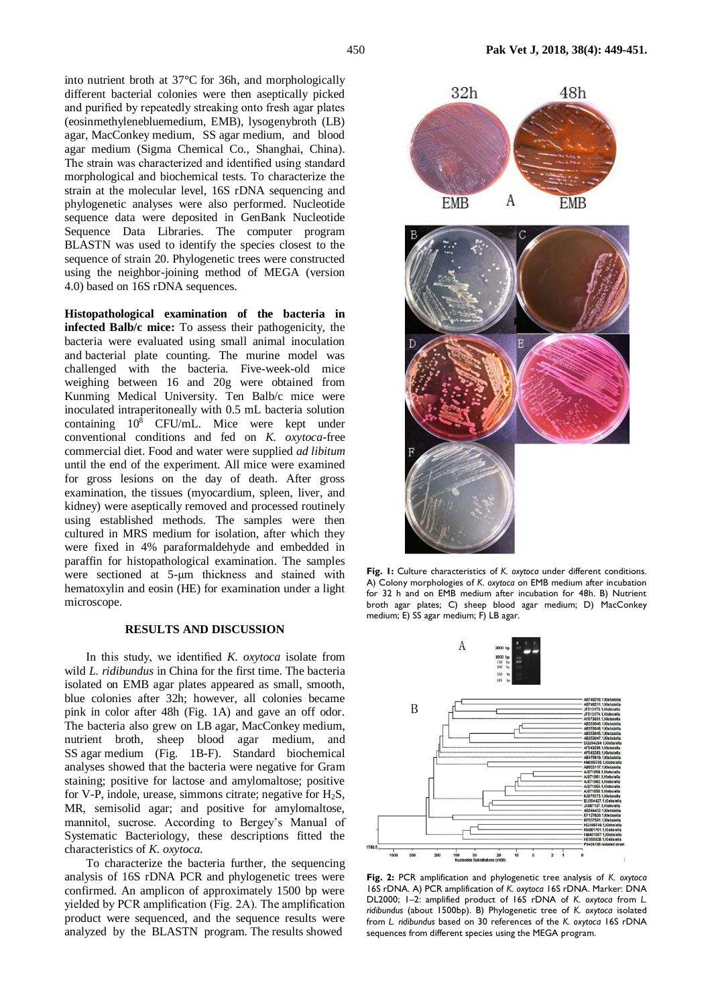into nutrient broth at 37°C for 36h, and morphologically different bacterial colonies were then aseptically picked and purified by repeatedly streaking onto fresh agar plates (eosinmethylenebluemedium, EMB), lysogenybroth (LB) agar, MacConkey medium, SS agar medium, and blood agar medium (Sigma Chemical Co., Shanghai, China). The strain was characterized and identified using standard morphological and biochemical tests. To characterize the strain at the molecular level, 16S rDNA sequencing and phylogenetic analyses were also performed. Nucleotide sequence data were deposited in GenBank Nucleotide Sequence Data Libraries. The computer program BLASTN was used to identify the species closest to the sequence of strain 20. Phylogenetic trees were constructed using the neighbor-joining method of MEGA (version 4.0) based on 16S rDNA sequences.

**Histopathological examination of the bacteria in infected Balb/c mice:** To assess their pathogenicity, the bacteria were evaluated using small animal inoculation and bacterial plate counting. The murine model was challenged with the bacteria. Five-week-old mice weighing between 16 and 20g were obtained from Kunming Medical University. Ten Balb/c mice were inoculated intraperitoneally with 0.5 mL bacteria solution containing  $10^{\overline{8}}$  CFU/mL. Mice were kept under conventional conditions and fed on *K. oxytoca*-free commercial diet. Food and water were supplied *ad libitum* until the end of the experiment. All mice were examined for gross lesions on the day of death. After gross examination, the tissues (myocardium, spleen, liver, and kidney) were aseptically removed and processed routinely using established methods. The samples were then cultured in MRS medium for isolation, after which they were fixed in 4% paraformaldehyde and embedded in paraffin for histopathological examination. The samples were sectioned at 5-μm thickness and stained with hematoxylin and eosin (HE) for examination under a light microscope.

### **RESULTS AND DISCUSSION**

In this study, we identified *K. oxytoca* isolate from wild *L. ridibundus* in China for the first time. The bacteria isolated on EMB agar plates appeared as small, smooth, blue colonies after 32h; however, all colonies became pink in color after 48h (Fig. 1A) and gave an off odor. The bacteria also grew on LB agar, MacConkey medium, nutrient broth, sheep blood agar medium, and SS agar medium (Fig. 1B-F). Standard biochemical analyses showed that the bacteria were negative for Gram staining; positive for lactose and amylomaltose; positive for V-P, indole, urease, simmons citrate; negative for  $H_2S$ , MR, [semisolid agar;](javascript:showjdsw() and positive for amylomaltose, mannitol, sucrose. According to Bergey's Manual of Systematic Bacteriology, these descriptions fitted the characteristics of *K. oxytoca*.

To characterize the bacteria further, the sequencing analysis of 16S rDNA PCR and phylogenetic trees were confirmed. An amplicon of approximately 1500 bp were yielded by PCR amplification (Fig. 2A). The amplification product were sequenced, and the sequence results were analyzed by the BLASTN program. The results showed



**Fig. 1:** Culture characteristics of *K. oxytoca* under different conditions. A) Colony morphologies of *K. oxytoca* on EMB medium after incubation for 32 h and on EMB medium after incubation for 48h. B) Nutrient broth agar plates; C) sheep blood agar medium; D) MacConkey medium; E) SS agar medium; F) LB agar.



**Fig. 2:** PCR amplification and phylogenetic tree analysis of *K. oxytoca* 16S rDNA. A) PCR amplification of *K. oxytoca* 16S rDNA. Marker: DNA DL2000; 1–2: amplified product of 16S rDNA of *K. oxytoca* from *L. ridibundus* (about 1500bp). B) Phylogenetic tree of *K. oxytoca* isolated from *L. ridibundus* based on 30 references of the *K. oxytoca* 16S rDNA sequences from different species using the MEGA program.